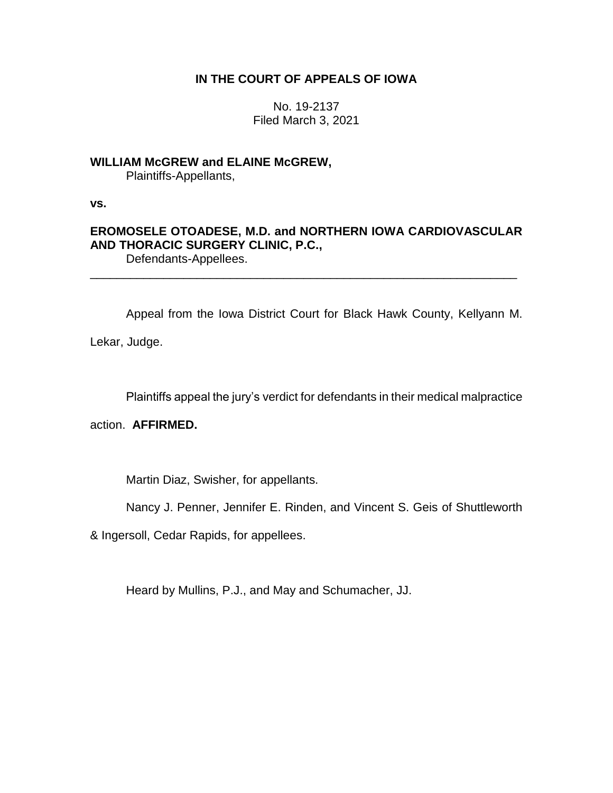### **IN THE COURT OF APPEALS OF IOWA**

No. 19-2137 Filed March 3, 2021

## **WILLIAM McGREW and ELAINE McGREW,**

Plaintiffs-Appellants,

**vs.**

# **EROMOSELE OTOADESE, M.D. and NORTHERN IOWA CARDIOVASCULAR AND THORACIC SURGERY CLINIC, P.C.,**

Defendants-Appellees. \_\_\_\_\_\_\_\_\_\_\_\_\_\_\_\_\_\_\_\_\_\_\_\_\_\_\_\_\_\_\_\_\_\_\_\_\_\_\_\_\_\_\_\_\_\_\_\_\_\_\_\_\_\_\_\_\_\_\_\_\_\_\_\_

Appeal from the Iowa District Court for Black Hawk County, Kellyann M.

Lekar, Judge.

Plaintiffs appeal the jury's verdict for defendants in their medical malpractice

action. **AFFIRMED.**

Martin Diaz, Swisher, for appellants.

Nancy J. Penner, Jennifer E. Rinden, and Vincent S. Geis of Shuttleworth

& Ingersoll, Cedar Rapids, for appellees.

Heard by Mullins, P.J., and May and Schumacher, JJ.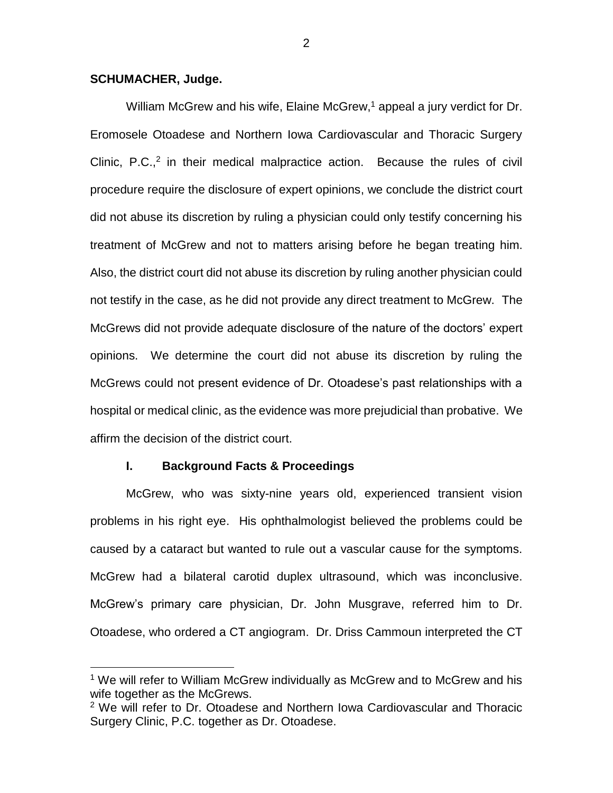#### **SCHUMACHER, Judge.**

 $\overline{a}$ 

William McGrew and his wife, Elaine McGrew,<sup>1</sup> appeal a jury verdict for Dr. Eromosele Otoadese and Northern Iowa Cardiovascular and Thoracic Surgery Clinic,  $P.C.,<sup>2</sup>$  in their medical malpractice action. Because the rules of civil procedure require the disclosure of expert opinions, we conclude the district court did not abuse its discretion by ruling a physician could only testify concerning his treatment of McGrew and not to matters arising before he began treating him. Also, the district court did not abuse its discretion by ruling another physician could not testify in the case, as he did not provide any direct treatment to McGrew. The McGrews did not provide adequate disclosure of the nature of the doctors' expert opinions. We determine the court did not abuse its discretion by ruling the McGrews could not present evidence of Dr. Otoadese's past relationships with a hospital or medical clinic, as the evidence was more prejudicial than probative. We affirm the decision of the district court.

#### **I. Background Facts & Proceedings**

McGrew, who was sixty-nine years old, experienced transient vision problems in his right eye. His ophthalmologist believed the problems could be caused by a cataract but wanted to rule out a vascular cause for the symptoms. McGrew had a bilateral carotid duplex ultrasound, which was inconclusive. McGrew's primary care physician, Dr. John Musgrave, referred him to Dr. Otoadese, who ordered a CT angiogram. Dr. Driss Cammoun interpreted the CT

<sup>&</sup>lt;sup>1</sup> We will refer to William McGrew individually as McGrew and to McGrew and his wife together as the McGrews.

<sup>&</sup>lt;sup>2</sup> We will refer to Dr. Otoadese and Northern Iowa Cardiovascular and Thoracic Surgery Clinic, P.C. together as Dr. Otoadese.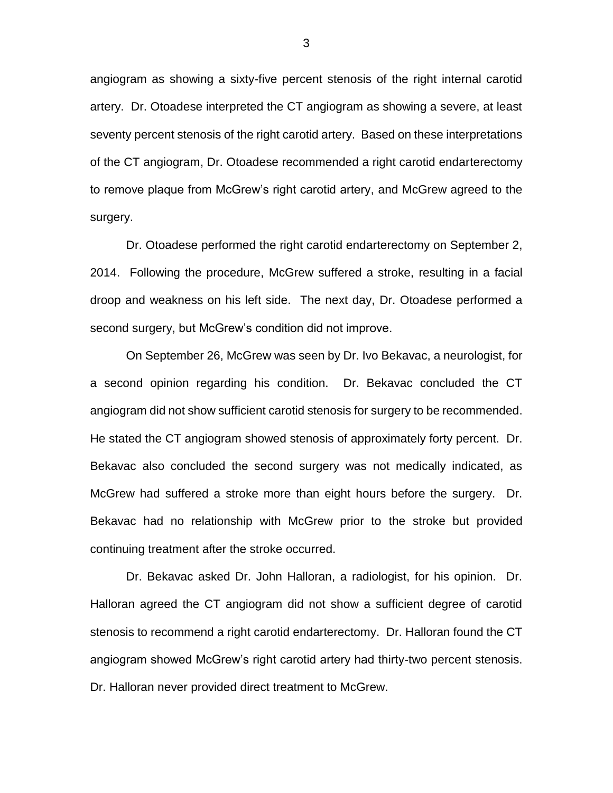angiogram as showing a sixty-five percent stenosis of the right internal carotid artery. Dr. Otoadese interpreted the CT angiogram as showing a severe, at least seventy percent stenosis of the right carotid artery. Based on these interpretations of the CT angiogram, Dr. Otoadese recommended a right carotid endarterectomy to remove plaque from McGrew's right carotid artery, and McGrew agreed to the surgery.

Dr. Otoadese performed the right carotid endarterectomy on September 2, 2014. Following the procedure, McGrew suffered a stroke, resulting in a facial droop and weakness on his left side. The next day, Dr. Otoadese performed a second surgery, but McGrew's condition did not improve.

On September 26, McGrew was seen by Dr. Ivo Bekavac, a neurologist, for a second opinion regarding his condition. Dr. Bekavac concluded the CT angiogram did not show sufficient carotid stenosis for surgery to be recommended. He stated the CT angiogram showed stenosis of approximately forty percent. Dr. Bekavac also concluded the second surgery was not medically indicated, as McGrew had suffered a stroke more than eight hours before the surgery. Dr. Bekavac had no relationship with McGrew prior to the stroke but provided continuing treatment after the stroke occurred.

Dr. Bekavac asked Dr. John Halloran, a radiologist, for his opinion. Dr. Halloran agreed the CT angiogram did not show a sufficient degree of carotid stenosis to recommend a right carotid endarterectomy. Dr. Halloran found the CT angiogram showed McGrew's right carotid artery had thirty-two percent stenosis. Dr. Halloran never provided direct treatment to McGrew.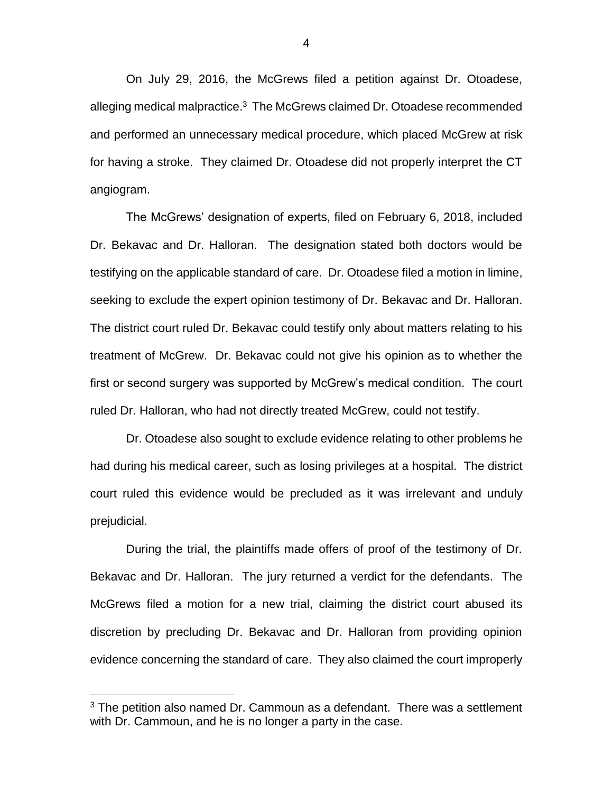On July 29, 2016, the McGrews filed a petition against Dr. Otoadese, alleging medical malpractice.<sup>3</sup> The McGrews claimed Dr. Otoadese recommended and performed an unnecessary medical procedure, which placed McGrew at risk for having a stroke. They claimed Dr. Otoadese did not properly interpret the CT angiogram.

The McGrews' designation of experts, filed on February 6, 2018, included Dr. Bekavac and Dr. Halloran. The designation stated both doctors would be testifying on the applicable standard of care. Dr. Otoadese filed a motion in limine, seeking to exclude the expert opinion testimony of Dr. Bekavac and Dr. Halloran. The district court ruled Dr. Bekavac could testify only about matters relating to his treatment of McGrew. Dr. Bekavac could not give his opinion as to whether the first or second surgery was supported by McGrew's medical condition. The court ruled Dr. Halloran, who had not directly treated McGrew, could not testify.

Dr. Otoadese also sought to exclude evidence relating to other problems he had during his medical career, such as losing privileges at a hospital. The district court ruled this evidence would be precluded as it was irrelevant and unduly prejudicial.

During the trial, the plaintiffs made offers of proof of the testimony of Dr. Bekavac and Dr. Halloran. The jury returned a verdict for the defendants. The McGrews filed a motion for a new trial, claiming the district court abused its discretion by precluding Dr. Bekavac and Dr. Halloran from providing opinion evidence concerning the standard of care. They also claimed the court improperly

 $\overline{a}$ 

 $3$  The petition also named Dr. Cammoun as a defendant. There was a settlement with Dr. Cammoun, and he is no longer a party in the case.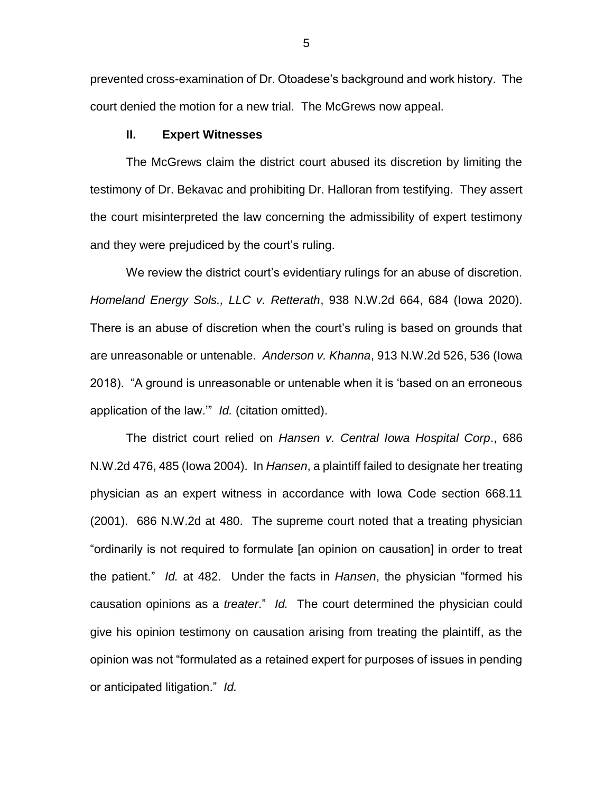prevented cross-examination of Dr. Otoadese's background and work history. The court denied the motion for a new trial. The McGrews now appeal.

#### **II. Expert Witnesses**

The McGrews claim the district court abused its discretion by limiting the testimony of Dr. Bekavac and prohibiting Dr. Halloran from testifying. They assert the court misinterpreted the law concerning the admissibility of expert testimony and they were prejudiced by the court's ruling.

We review the district court's evidentiary rulings for an abuse of discretion. *Homeland Energy Sols., LLC v. Retterath*, 938 N.W.2d 664, 684 (Iowa 2020). There is an abuse of discretion when the court's ruling is based on grounds that are unreasonable or untenable. *Anderson v. Khanna*, 913 N.W.2d 526, 536 (Iowa 2018). "A ground is unreasonable or untenable when it is 'based on an erroneous application of the law.'" *Id.* (citation omitted).

The district court relied on *Hansen v. Central Iowa Hospital Corp*., 686 N.W.2d 476, 485 (Iowa 2004). In *Hansen*, a plaintiff failed to designate her treating physician as an expert witness in accordance with Iowa Code section 668.11 (2001). 686 N.W.2d at 480. The supreme court noted that a treating physician "ordinarily is not required to formulate [an opinion on causation] in order to treat the patient." *Id.* at 482. Under the facts in *Hansen*, the physician "formed his causation opinions as a *treater*." *Id.* The court determined the physician could give his opinion testimony on causation arising from treating the plaintiff, as the opinion was not "formulated as a retained expert for purposes of issues in pending or anticipated litigation." *Id.*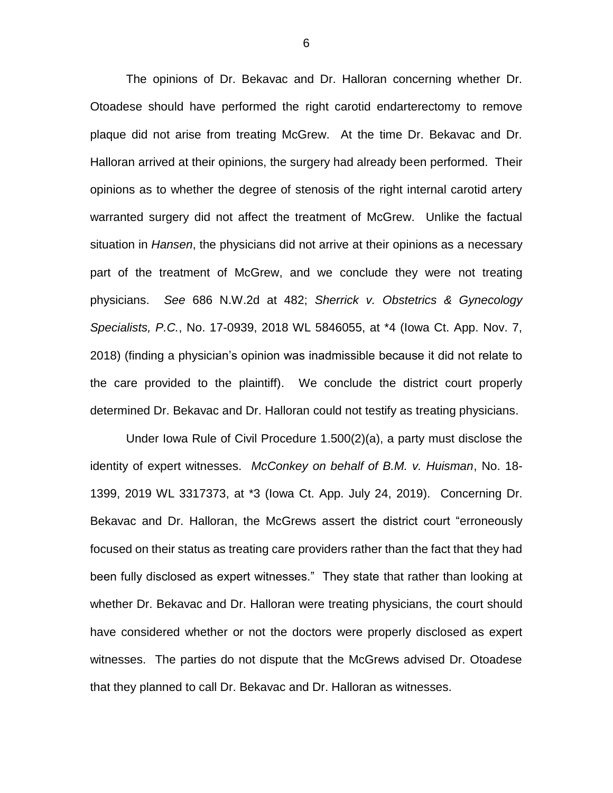The opinions of Dr. Bekavac and Dr. Halloran concerning whether Dr. Otoadese should have performed the right carotid endarterectomy to remove plaque did not arise from treating McGrew. At the time Dr. Bekavac and Dr. Halloran arrived at their opinions, the surgery had already been performed. Their opinions as to whether the degree of stenosis of the right internal carotid artery warranted surgery did not affect the treatment of McGrew. Unlike the factual situation in *Hansen*, the physicians did not arrive at their opinions as a necessary part of the treatment of McGrew, and we conclude they were not treating physicians. *See* 686 N.W.2d at 482; *Sherrick v. Obstetrics & Gynecology Specialists, P.C.*, No. 17-0939, 2018 WL 5846055, at \*4 (Iowa Ct. App. Nov. 7, 2018) (finding a physician's opinion was inadmissible because it did not relate to the care provided to the plaintiff). We conclude the district court properly determined Dr. Bekavac and Dr. Halloran could not testify as treating physicians.

Under Iowa Rule of Civil Procedure 1.500(2)(a), a party must disclose the identity of expert witnesses. *McConkey on behalf of B.M. v. Huisman*, No. 18- 1399, 2019 WL 3317373, at \*3 (Iowa Ct. App. July 24, 2019). Concerning Dr. Bekavac and Dr. Halloran, the McGrews assert the district court "erroneously focused on their status as treating care providers rather than the fact that they had been fully disclosed as expert witnesses." They state that rather than looking at whether Dr. Bekavac and Dr. Halloran were treating physicians, the court should have considered whether or not the doctors were properly disclosed as expert witnesses. The parties do not dispute that the McGrews advised Dr. Otoadese that they planned to call Dr. Bekavac and Dr. Halloran as witnesses.

6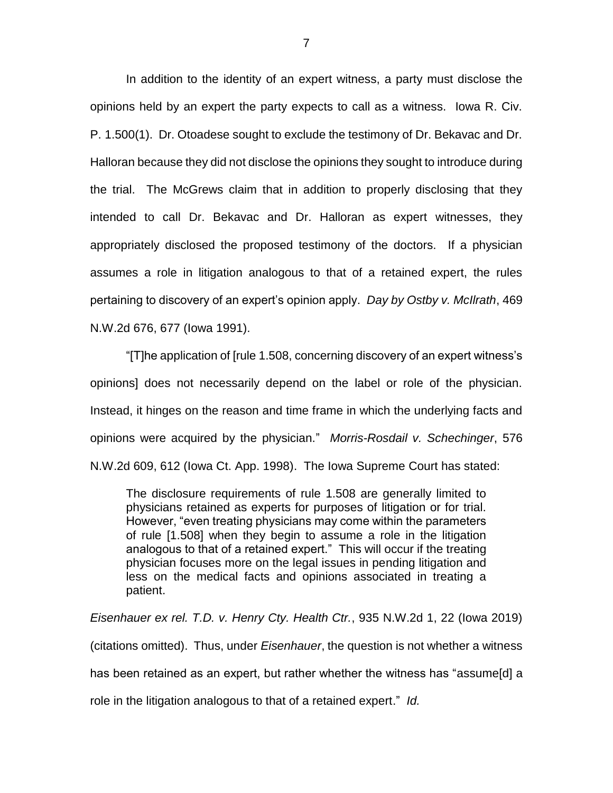In addition to the identity of an expert witness, a party must disclose the opinions held by an expert the party expects to call as a witness. Iowa R. Civ. P. 1.500(1). Dr. Otoadese sought to exclude the testimony of Dr. Bekavac and Dr. Halloran because they did not disclose the opinions they sought to introduce during the trial. The McGrews claim that in addition to properly disclosing that they intended to call Dr. Bekavac and Dr. Halloran as expert witnesses, they appropriately disclosed the proposed testimony of the doctors. If a physician assumes a role in litigation analogous to that of a retained expert, the rules pertaining to discovery of an expert's opinion apply. *Day by Ostby v. McIlrath*, 469 N.W.2d 676, 677 (Iowa 1991).

"[T]he application of [rule 1.508, concerning discovery of an expert witness's opinions] does not necessarily depend on the label or role of the physician. Instead, it hinges on the reason and time frame in which the underlying facts and opinions were acquired by the physician." *Morris-Rosdail v. Schechinger*, 576 N.W.2d 609, 612 (Iowa Ct. App. 1998). The Iowa Supreme Court has stated:

The disclosure requirements of rule 1.508 are generally limited to physicians retained as experts for purposes of litigation or for trial. However, "even treating physicians may come within the parameters of rule [1.508] when they begin to assume a role in the litigation analogous to that of a retained expert." This will occur if the treating physician focuses more on the legal issues in pending litigation and less on the medical facts and opinions associated in treating a patient.

*Eisenhauer ex rel. T.D. v. Henry Cty. Health Ctr.*, 935 N.W.2d 1, 22 (Iowa 2019) (citations omitted). Thus, under *Eisenhauer*, the question is not whether a witness has been retained as an expert, but rather whether the witness has "assume[d] a role in the litigation analogous to that of a retained expert." *Id.*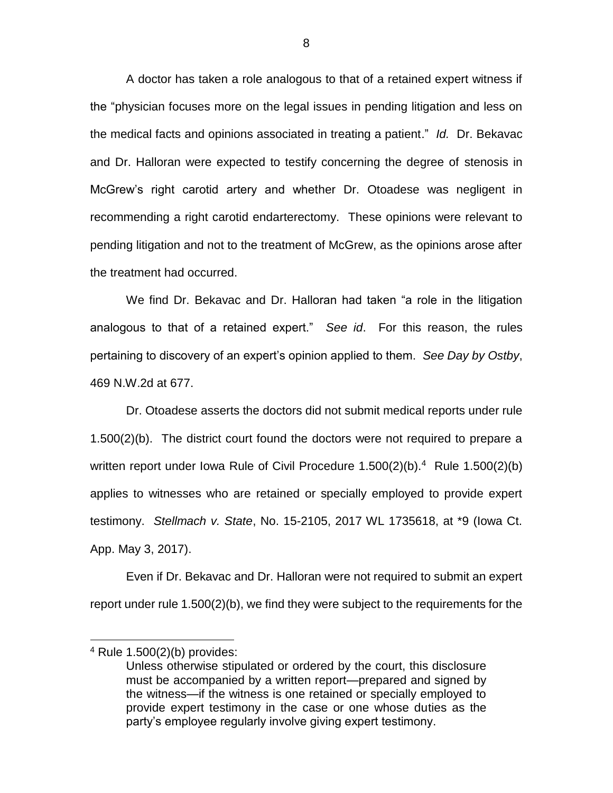A doctor has taken a role analogous to that of a retained expert witness if the "physician focuses more on the legal issues in pending litigation and less on the medical facts and opinions associated in treating a patient." *Id.* Dr. Bekavac and Dr. Halloran were expected to testify concerning the degree of stenosis in McGrew's right carotid artery and whether Dr. Otoadese was negligent in recommending a right carotid endarterectomy. These opinions were relevant to pending litigation and not to the treatment of McGrew, as the opinions arose after the treatment had occurred.

We find Dr. Bekavac and Dr. Halloran had taken "a role in the litigation analogous to that of a retained expert." *See id*. For this reason, the rules pertaining to discovery of an expert's opinion applied to them. *See Day by Ostby*, 469 N.W.2d at 677.

Dr. Otoadese asserts the doctors did not submit medical reports under rule 1.500(2)(b). The district court found the doctors were not required to prepare a written report under Iowa Rule of Civil Procedure 1.500(2)(b).<sup>4</sup> Rule 1.500(2)(b) applies to witnesses who are retained or specially employed to provide expert testimony. *Stellmach v. State*, No. 15-2105, 2017 WL 1735618, at \*9 (Iowa Ct. App. May 3, 2017).

Even if Dr. Bekavac and Dr. Halloran were not required to submit an expert report under rule 1.500(2)(b), we find they were subject to the requirements for the

 $\overline{a}$ 

<sup>4</sup> Rule 1.500(2)(b) provides:

Unless otherwise stipulated or ordered by the court, this disclosure must be accompanied by a written report—prepared and signed by the witness—if the witness is one retained or specially employed to provide expert testimony in the case or one whose duties as the party's employee regularly involve giving expert testimony.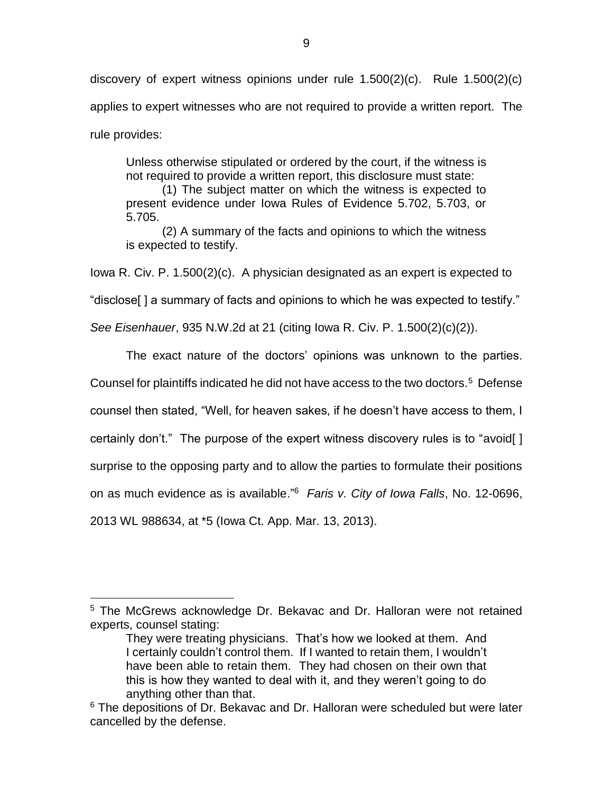discovery of expert witness opinions under rule 1.500(2)(c). Rule 1.500(2)(c) applies to expert witnesses who are not required to provide a written report. The rule provides:

Unless otherwise stipulated or ordered by the court, if the witness is not required to provide a written report, this disclosure must state:

(1) The subject matter on which the witness is expected to present evidence under Iowa Rules of Evidence 5.702, 5.703, or 5.705.

(2) A summary of the facts and opinions to which the witness is expected to testify.

Iowa R. Civ. P. 1.500(2)(c). A physician designated as an expert is expected to

"disclose[ ] a summary of facts and opinions to which he was expected to testify."

*See Eisenhauer*, 935 N.W.2d at 21 (citing Iowa R. Civ. P. 1.500(2)(c)(2)).

The exact nature of the doctors' opinions was unknown to the parties.

Counsel for plaintiffs indicated he did not have access to the two doctors.<sup>5</sup> Defense

counsel then stated, "Well, for heaven sakes, if he doesn't have access to them, I

certainly don't." The purpose of the expert witness discovery rules is to "avoid[ ]

surprise to the opposing party and to allow the parties to formulate their positions

on as much evidence as is available."<sup>6</sup> *Faris v. City of Iowa Falls*, No. 12-0696,

2013 WL 988634, at \*5 (Iowa Ct. App. Mar. 13, 2013).

 $\overline{a}$ <sup>5</sup> The McGrews acknowledge Dr. Bekavac and Dr. Halloran were not retained experts, counsel stating:

They were treating physicians. That's how we looked at them. And I certainly couldn't control them. If I wanted to retain them, I wouldn't have been able to retain them. They had chosen on their own that this is how they wanted to deal with it, and they weren't going to do anything other than that.

 $6$  The depositions of Dr. Bekavac and Dr. Halloran were scheduled but were later cancelled by the defense.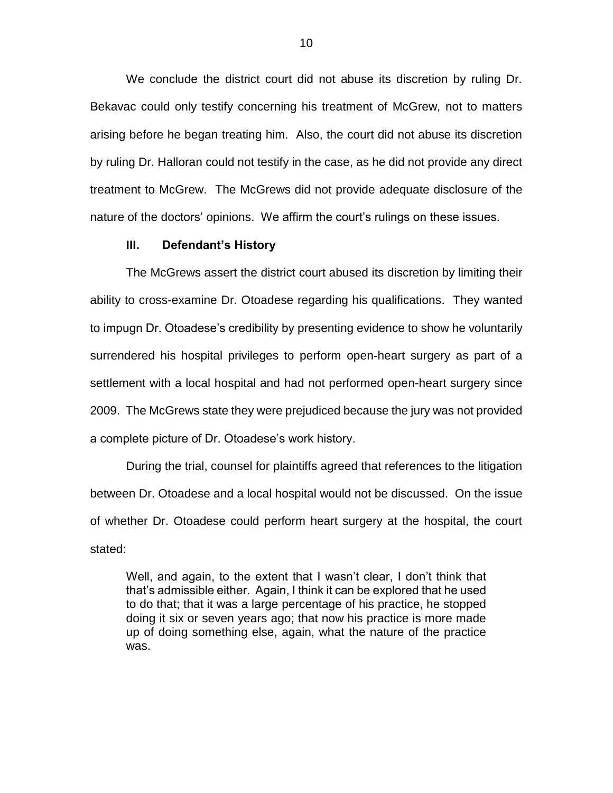We conclude the district court did not abuse its discretion by ruling Dr. Bekavac could only testify concerning his treatment of McGrew, not to matters arising before he began treating him. Also, the court did not abuse its discretion by ruling Dr. Halloran could not testify in the case, as he did not provide any direct treatment to McGrew. The McGrews did not provide adequate disclosure of the nature of the doctors' opinions. We affirm the court's rulings on these issues.

### **III. Defendant's History**

The McGrews assert the district court abused its discretion by limiting their ability to cross-examine Dr. Otoadese regarding his qualifications. They wanted to impugn Dr. Otoadese's credibility by presenting evidence to show he voluntarily surrendered his hospital privileges to perform open-heart surgery as part of a settlement with a local hospital and had not performed open-heart surgery since 2009. The McGrews state they were prejudiced because the jury was not provided a complete picture of Dr. Otoadese's work history.

During the trial, counsel for plaintiffs agreed that references to the litigation between Dr. Otoadese and a local hospital would not be discussed. On the issue of whether Dr. Otoadese could perform heart surgery at the hospital, the court stated:

Well, and again, to the extent that I wasn't clear, I don't think that that's admissible either. Again, I think it can be explored that he used to do that; that it was a large percentage of his practice, he stopped doing it six or seven years ago; that now his practice is more made up of doing something else, again, what the nature of the practice was.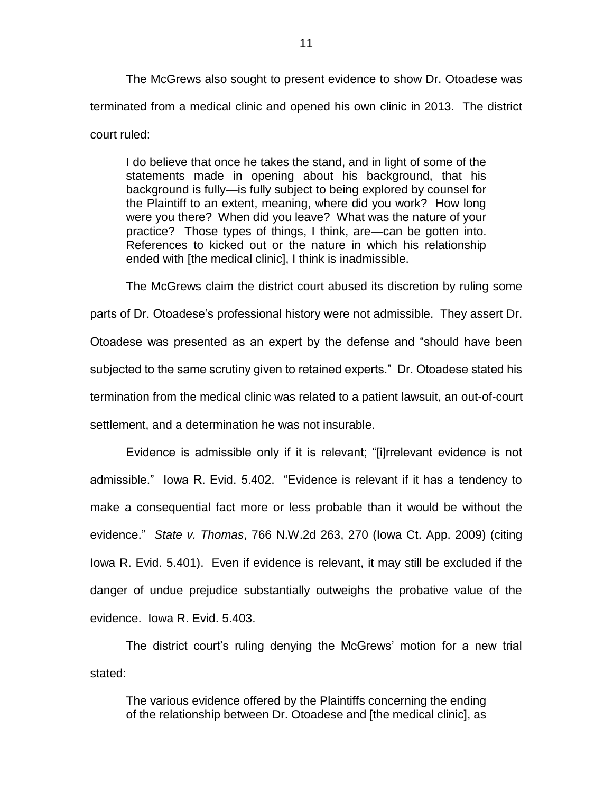The McGrews also sought to present evidence to show Dr. Otoadese was terminated from a medical clinic and opened his own clinic in 2013. The district court ruled:

I do believe that once he takes the stand, and in light of some of the statements made in opening about his background, that his background is fully—is fully subject to being explored by counsel for the Plaintiff to an extent, meaning, where did you work? How long were you there? When did you leave? What was the nature of your practice? Those types of things, I think, are—can be gotten into. References to kicked out or the nature in which his relationship ended with [the medical clinic], I think is inadmissible.

The McGrews claim the district court abused its discretion by ruling some parts of Dr. Otoadese's professional history were not admissible. They assert Dr. Otoadese was presented as an expert by the defense and "should have been subjected to the same scrutiny given to retained experts." Dr. Otoadese stated his termination from the medical clinic was related to a patient lawsuit, an out-of-court settlement, and a determination he was not insurable.

Evidence is admissible only if it is relevant; "[i]rrelevant evidence is not admissible." Iowa R. Evid. 5.402. "Evidence is relevant if it has a tendency to make a consequential fact more or less probable than it would be without the evidence." *State v. Thomas*, 766 N.W.2d 263, 270 (Iowa Ct. App. 2009) (citing Iowa R. Evid. 5.401). Even if evidence is relevant, it may still be excluded if the danger of undue prejudice substantially outweighs the probative value of the evidence. Iowa R. Evid. 5.403.

The district court's ruling denying the McGrews' motion for a new trial stated:

The various evidence offered by the Plaintiffs concerning the ending of the relationship between Dr. Otoadese and [the medical clinic], as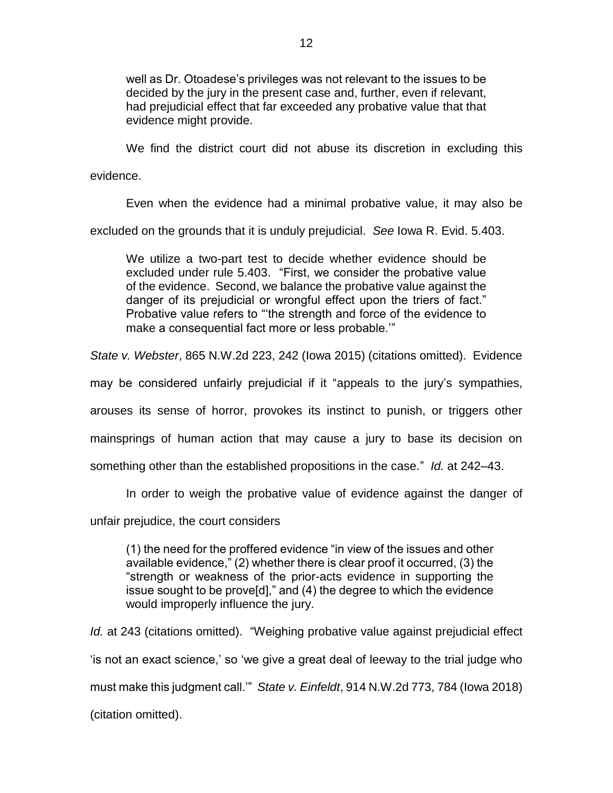well as Dr. Otoadese's privileges was not relevant to the issues to be decided by the jury in the present case and, further, even if relevant, had prejudicial effect that far exceeded any probative value that that evidence might provide.

We find the district court did not abuse its discretion in excluding this

evidence.

Even when the evidence had a minimal probative value, it may also be excluded on the grounds that it is unduly prejudicial. *See* Iowa R. Evid. 5.403.

We utilize a two-part test to decide whether evidence should be excluded under rule 5.403. "First, we consider the probative value of the evidence. Second, we balance the probative value against the danger of its prejudicial or wrongful effect upon the triers of fact." Probative value refers to "'the strength and force of the evidence to make a consequential fact more or less probable.'"

*State v. Webster*, 865 N.W.2d 223, 242 (Iowa 2015) (citations omitted). Evidence

may be considered unfairly prejudicial if it "appeals to the jury's sympathies,

arouses its sense of horror, provokes its instinct to punish, or triggers other

mainsprings of human action that may cause a jury to base its decision on

something other than the established propositions in the case." *Id.* at 242–43.

In order to weigh the probative value of evidence against the danger of

unfair prejudice, the court considers

(1) the need for the proffered evidence "in view of the issues and other available evidence," (2) whether there is clear proof it occurred, (3) the "strength or weakness of the prior-acts evidence in supporting the issue sought to be prove[d]," and (4) the degree to which the evidence would improperly influence the jury.

*Id.* at 243 (citations omitted). "Weighing probative value against prejudicial effect 'is not an exact science,' so 'we give a great deal of leeway to the trial judge who must make this judgment call.'" *State v. Einfeldt*, 914 N.W.2d 773, 784 (Iowa 2018) (citation omitted).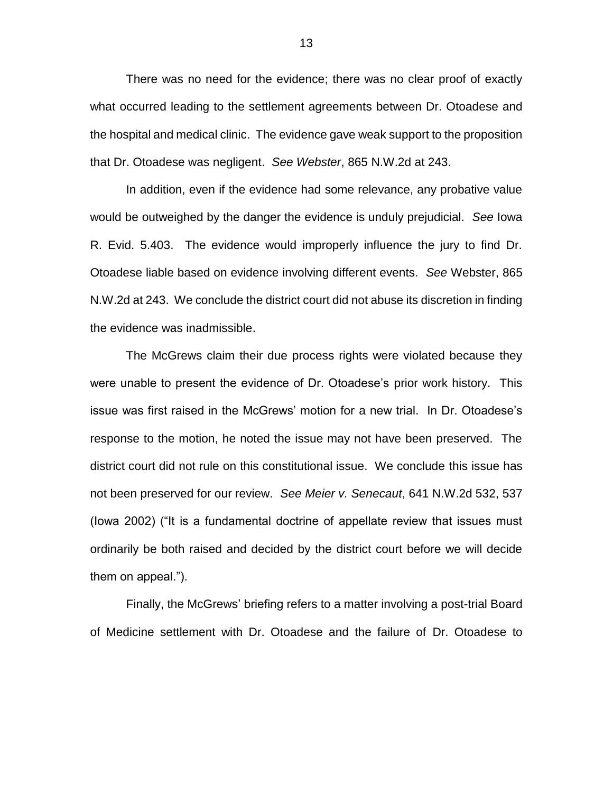There was no need for the evidence; there was no clear proof of exactly what occurred leading to the settlement agreements between Dr. Otoadese and the hospital and medical clinic. The evidence gave weak support to the proposition that Dr. Otoadese was negligent. *See Webster*, 865 N.W.2d at 243.

In addition, even if the evidence had some relevance, any probative value would be outweighed by the danger the evidence is unduly prejudicial. *See* Iowa R. Evid. 5.403. The evidence would improperly influence the jury to find Dr. Otoadese liable based on evidence involving different events. *See* Webster, 865 N.W.2d at 243. We conclude the district court did not abuse its discretion in finding the evidence was inadmissible.

The McGrews claim their due process rights were violated because they were unable to present the evidence of Dr. Otoadese's prior work history. This issue was first raised in the McGrews' motion for a new trial. In Dr. Otoadese's response to the motion, he noted the issue may not have been preserved. The district court did not rule on this constitutional issue. We conclude this issue has not been preserved for our review. *See Meier v. Senecaut*, 641 N.W.2d 532, 537 (Iowa 2002) ("It is a fundamental doctrine of appellate review that issues must ordinarily be both raised and decided by the district court before we will decide them on appeal.").

Finally, the McGrews' briefing refers to a matter involving a post-trial Board of Medicine settlement with Dr. Otoadese and the failure of Dr. Otoadese to